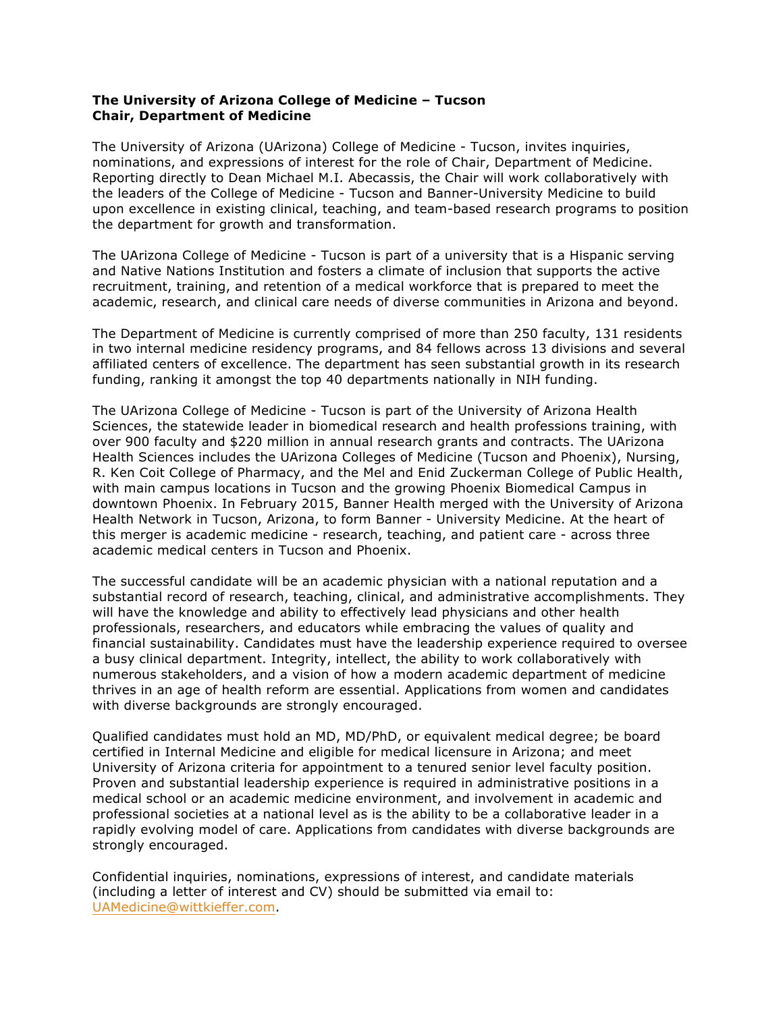## **The University of Arizona College of Medicine – Tucson Chair, Department of Medicine**

The University of Arizona (UArizona) College of Medicine - Tucson, invites inquiries, nominations, and expressions of interest for the role of Chair, Department of Medicine. Reporting directly to Dean Michael M.I. Abecassis, the Chair will work collaboratively with the leaders of the College of Medicine - Tucson and Banner-University Medicine to build upon excellence in existing clinical, teaching, and team-based research programs to position the department for growth and transformation.

The UArizona College of Medicine - Tucson is part of a university that is a Hispanic serving and Native Nations Institution and fosters a climate of inclusion that supports the active recruitment, training, and retention of a medical workforce that is prepared to meet the academic, research, and clinical care needs of diverse communities in Arizona and beyond.

The Department of Medicine is currently comprised of more than 250 faculty, 131 residents in two internal medicine residency programs, and 84 fellows across 13 divisions and several affiliated centers of excellence. The department has seen substantial growth in its research funding, ranking it amongst the top 40 departments nationally in NIH funding.

The UArizona College of Medicine - Tucson is part of the University of Arizona Health Sciences, the statewide leader in biomedical research and health professions training, with over 900 faculty and \$220 million in annual research grants and contracts. The UArizona Health Sciences includes the UArizona Colleges of Medicine (Tucson and Phoenix), Nursing, R. Ken Coit College of Pharmacy, and the Mel and Enid Zuckerman College of Public Health, with main campus locations in Tucson and the growing Phoenix Biomedical Campus in downtown Phoenix. In February 2015, Banner Health merged with the University of Arizona Health Network in Tucson, Arizona, to form Banner - University Medicine. At the heart of this merger is academic medicine - research, teaching, and patient care - across three academic medical centers in Tucson and Phoenix.

The successful candidate will be an academic physician with a national reputation and a substantial record of research, teaching, clinical, and administrative accomplishments. They will have the knowledge and ability to effectively lead physicians and other health professionals, researchers, and educators while embracing the values of quality and financial sustainability. Candidates must have the leadership experience required to oversee a busy clinical department. Integrity, intellect, the ability to work collaboratively with numerous stakeholders, and a vision of how a modern academic department of medicine thrives in an age of health reform are essential. Applications from women and candidates with diverse backgrounds are strongly encouraged.

Qualified candidates must hold an MD, MD/PhD, or equivalent medical degree; be board certified in Internal Medicine and eligible for medical licensure in Arizona; and meet University of Arizona criteria for appointment to a tenured senior level faculty position. Proven and substantial leadership experience is required in administrative positions in a medical school or an academic medicine environment, and involvement in academic and professional societies at a national level as is the ability to be a collaborative leader in a rapidly evolving model of care. Applications from candidates with diverse backgrounds are strongly encouraged.

Confidential inquiries, nominations, expressions of interest, and candidate materials (including a letter of interest and CV) should be submitted via email to: UAMedicine@wittkieffer.com.